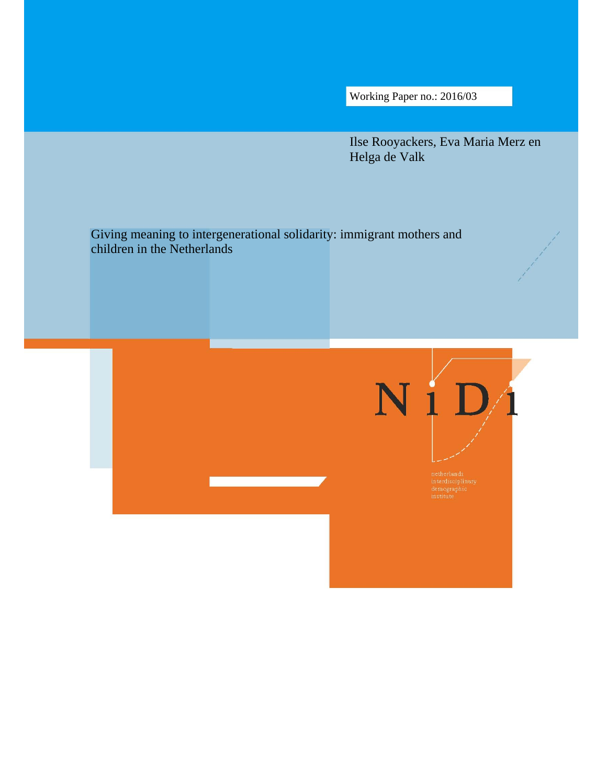Working Paper no.: 2016/03

Ilse Rooyackers, Eva Maria Merz en Helga de Valk

Giving meaning to intergenerational solidarity: immigrant mothers and children in the Netherlands

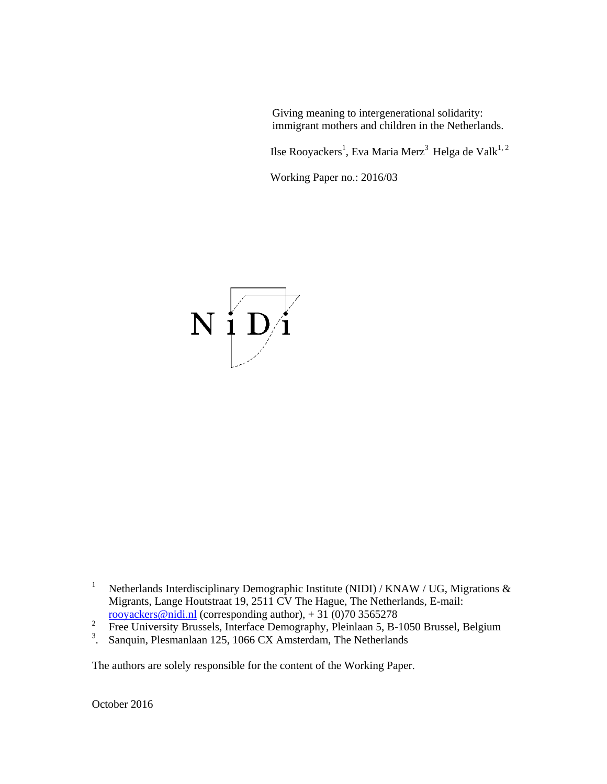Giving meaning to intergenerational solidarity: immigrant mothers and children in the Netherlands.

Ilse Rooyackers<sup>1</sup>, Eva Maria Merz $^3$  Helga de Valk $^{1,\,2}$ 

Working Paper no.: 2016/03



- 1 Netherlands Interdisciplinary Demographic Institute (NIDI) / KNAW / UG, Migrations & Migrants, Lange Houtstraat 19, 2511 CV The Hague, The Netherlands, E-mail: rooyackers@nidi.nl (corresponding author),  $+31(0)703565278$
- 2 Free University Brussels, Interface Demography, Pleinlaan 5, B-1050 Brussel, Belgium
- <sup>3</sup>. Sanquin, Plesmanlaan 125, 1066 CX Amsterdam, The Netherlands

The authors are solely responsible for the content of the Working Paper.

October 2016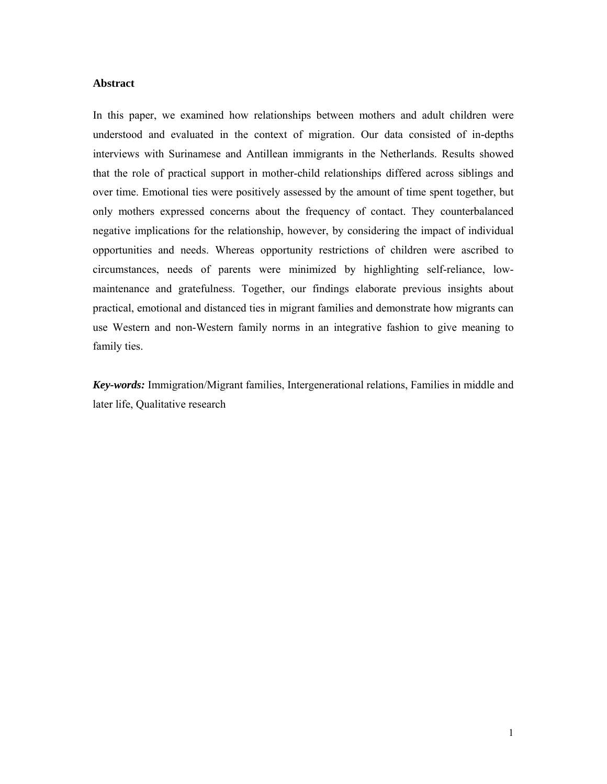### **Abstract**

In this paper, we examined how relationships between mothers and adult children were understood and evaluated in the context of migration. Our data consisted of in-depths interviews with Surinamese and Antillean immigrants in the Netherlands. Results showed that the role of practical support in mother-child relationships differed across siblings and over time. Emotional ties were positively assessed by the amount of time spent together, but only mothers expressed concerns about the frequency of contact. They counterbalanced negative implications for the relationship, however, by considering the impact of individual opportunities and needs. Whereas opportunity restrictions of children were ascribed to circumstances, needs of parents were minimized by highlighting self-reliance, lowmaintenance and gratefulness. Together, our findings elaborate previous insights about practical, emotional and distanced ties in migrant families and demonstrate how migrants can use Western and non-Western family norms in an integrative fashion to give meaning to family ties.

*Key-words:* Immigration/Migrant families, Intergenerational relations, Families in middle and later life, Qualitative research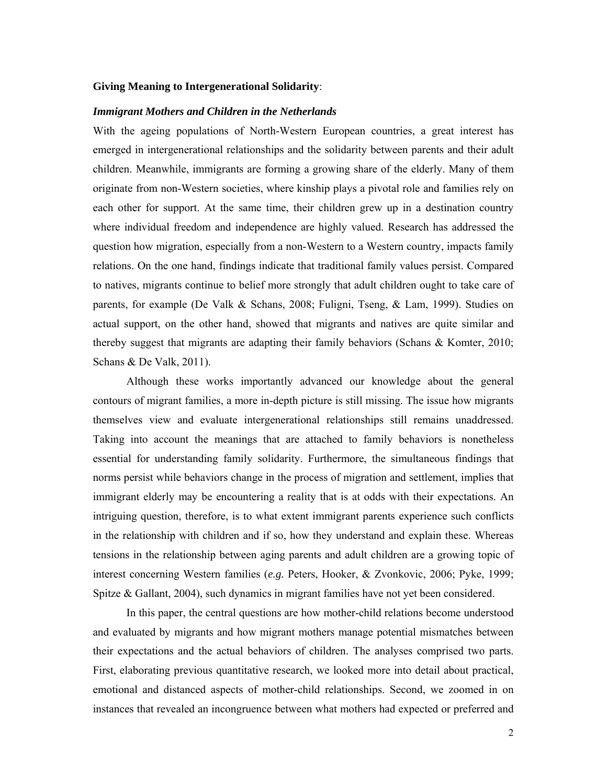# **Giving Meaning to Intergenerational Solidarity**:

### *Immigrant Mothers and Children in the Netherlands*

With the ageing populations of North-Western European countries, a great interest has emerged in intergenerational relationships and the solidarity between parents and their adult children. Meanwhile, immigrants are forming a growing share of the elderly. Many of them originate from non-Western societies, where kinship plays a pivotal role and families rely on each other for support. At the same time, their children grew up in a destination country where individual freedom and independence are highly valued. Research has addressed the question how migration, especially from a non-Western to a Western country, impacts family relations. On the one hand, findings indicate that traditional family values persist. Compared to natives, migrants continue to belief more strongly that adult children ought to take care of parents, for example (De Valk & Schans, 2008; Fuligni, Tseng, & Lam, 1999). Studies on actual support, on the other hand, showed that migrants and natives are quite similar and thereby suggest that migrants are adapting their family behaviors (Schans & Komter, 2010; Schans & De Valk, 2011).

Although these works importantly advanced our knowledge about the general contours of migrant families, a more in-depth picture is still missing. The issue how migrants themselves view and evaluate intergenerational relationships still remains unaddressed. Taking into account the meanings that are attached to family behaviors is nonetheless essential for understanding family solidarity. Furthermore, the simultaneous findings that norms persist while behaviors change in the process of migration and settlement, implies that immigrant elderly may be encountering a reality that is at odds with their expectations. An intriguing question, therefore, is to what extent immigrant parents experience such conflicts in the relationship with children and if so, how they understand and explain these. Whereas tensions in the relationship between aging parents and adult children are a growing topic of interest concerning Western families (*e.g.* Peters, Hooker, & Zvonkovic, 2006; Pyke, 1999; Spitze & Gallant, 2004), such dynamics in migrant families have not yet been considered.

In this paper, the central questions are how mother-child relations become understood and evaluated by migrants and how migrant mothers manage potential mismatches between their expectations and the actual behaviors of children. The analyses comprised two parts. First, elaborating previous quantitative research, we looked more into detail about practical, emotional and distanced aspects of mother-child relationships. Second, we zoomed in on instances that revealed an incongruence between what mothers had expected or preferred and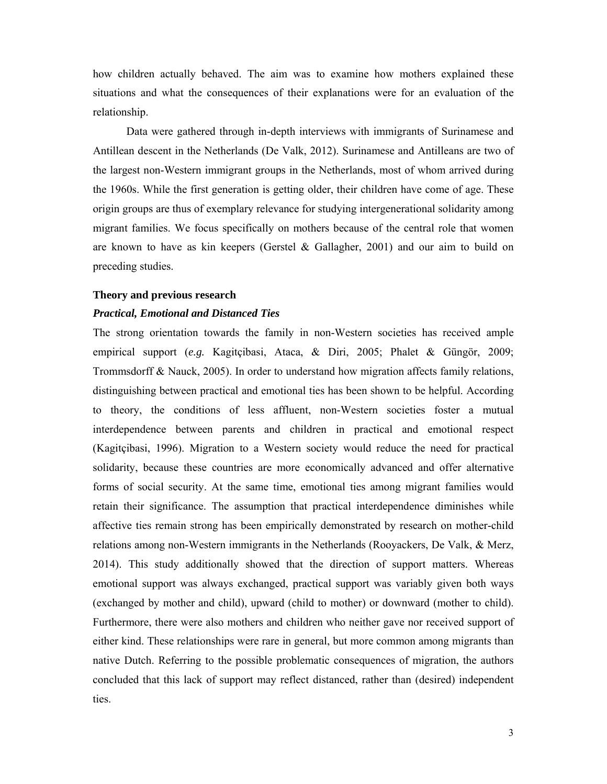how children actually behaved. The aim was to examine how mothers explained these situations and what the consequences of their explanations were for an evaluation of the relationship.

Data were gathered through in-depth interviews with immigrants of Surinamese and Antillean descent in the Netherlands (De Valk, 2012). Surinamese and Antilleans are two of the largest non-Western immigrant groups in the Netherlands, most of whom arrived during the 1960s. While the first generation is getting older, their children have come of age. These origin groups are thus of exemplary relevance for studying intergenerational solidarity among migrant families. We focus specifically on mothers because of the central role that women are known to have as kin keepers (Gerstel  $\&$  Gallagher, 2001) and our aim to build on preceding studies.

### **Theory and previous research**

### *Practical, Emotional and Distanced Ties*

The strong orientation towards the family in non-Western societies has received ample empirical support (*e.g.* Kagitçibasi, Ataca, & Diri, 2005; Phalet & Güngör, 2009; Trommsdorff & Nauck, 2005). In order to understand how migration affects family relations, distinguishing between practical and emotional ties has been shown to be helpful. According to theory, the conditions of less affluent, non-Western societies foster a mutual interdependence between parents and children in practical and emotional respect (Kagitçibasi, 1996). Migration to a Western society would reduce the need for practical solidarity, because these countries are more economically advanced and offer alternative forms of social security. At the same time, emotional ties among migrant families would retain their significance. The assumption that practical interdependence diminishes while affective ties remain strong has been empirically demonstrated by research on mother-child relations among non-Western immigrants in the Netherlands (Rooyackers, De Valk, & Merz, 2014). This study additionally showed that the direction of support matters. Whereas emotional support was always exchanged, practical support was variably given both ways (exchanged by mother and child), upward (child to mother) or downward (mother to child). Furthermore, there were also mothers and children who neither gave nor received support of either kind. These relationships were rare in general, but more common among migrants than native Dutch. Referring to the possible problematic consequences of migration, the authors concluded that this lack of support may reflect distanced, rather than (desired) independent ties.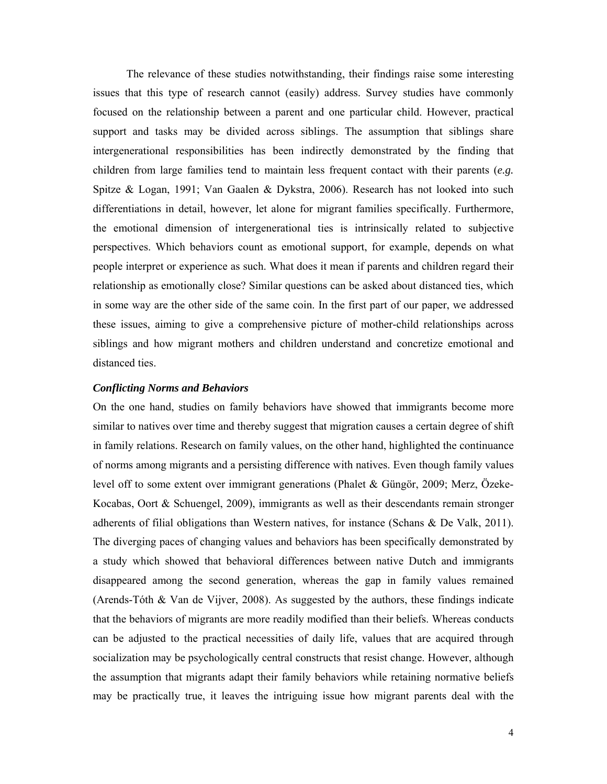The relevance of these studies notwithstanding, their findings raise some interesting issues that this type of research cannot (easily) address. Survey studies have commonly focused on the relationship between a parent and one particular child. However, practical support and tasks may be divided across siblings. The assumption that siblings share intergenerational responsibilities has been indirectly demonstrated by the finding that children from large families tend to maintain less frequent contact with their parents (*e.g.* Spitze & Logan, 1991; Van Gaalen & Dykstra, 2006). Research has not looked into such differentiations in detail, however, let alone for migrant families specifically. Furthermore, the emotional dimension of intergenerational ties is intrinsically related to subjective perspectives. Which behaviors count as emotional support, for example, depends on what people interpret or experience as such. What does it mean if parents and children regard their relationship as emotionally close? Similar questions can be asked about distanced ties, which in some way are the other side of the same coin. In the first part of our paper, we addressed these issues, aiming to give a comprehensive picture of mother-child relationships across siblings and how migrant mothers and children understand and concretize emotional and distanced ties.

### *Conflicting Norms and Behaviors*

On the one hand, studies on family behaviors have showed that immigrants become more similar to natives over time and thereby suggest that migration causes a certain degree of shift in family relations. Research on family values, on the other hand, highlighted the continuance of norms among migrants and a persisting difference with natives. Even though family values level off to some extent over immigrant generations (Phalet & Güngör, 2009; Merz, Özeke-Kocabas, Oort & Schuengel, 2009), immigrants as well as their descendants remain stronger adherents of filial obligations than Western natives, for instance (Schans & De Valk, 2011). The diverging paces of changing values and behaviors has been specifically demonstrated by a study which showed that behavioral differences between native Dutch and immigrants disappeared among the second generation, whereas the gap in family values remained (Arends-Tóth & Van de Vijver, 2008). As suggested by the authors, these findings indicate that the behaviors of migrants are more readily modified than their beliefs. Whereas conducts can be adjusted to the practical necessities of daily life, values that are acquired through socialization may be psychologically central constructs that resist change. However, although the assumption that migrants adapt their family behaviors while retaining normative beliefs may be practically true, it leaves the intriguing issue how migrant parents deal with the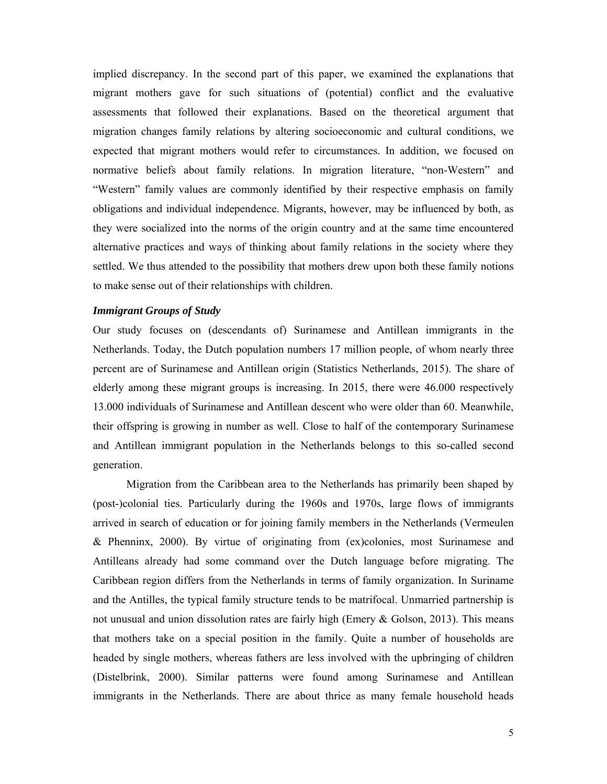implied discrepancy. In the second part of this paper, we examined the explanations that migrant mothers gave for such situations of (potential) conflict and the evaluative assessments that followed their explanations. Based on the theoretical argument that migration changes family relations by altering socioeconomic and cultural conditions, we expected that migrant mothers would refer to circumstances. In addition, we focused on normative beliefs about family relations. In migration literature, "non-Western" and "Western" family values are commonly identified by their respective emphasis on family obligations and individual independence. Migrants, however, may be influenced by both, as they were socialized into the norms of the origin country and at the same time encountered alternative practices and ways of thinking about family relations in the society where they settled. We thus attended to the possibility that mothers drew upon both these family notions to make sense out of their relationships with children.

# *Immigrant Groups of Study*

Our study focuses on (descendants of) Surinamese and Antillean immigrants in the Netherlands. Today, the Dutch population numbers 17 million people, of whom nearly three percent are of Surinamese and Antillean origin (Statistics Netherlands, 2015). The share of elderly among these migrant groups is increasing. In 2015, there were 46.000 respectively 13.000 individuals of Surinamese and Antillean descent who were older than 60. Meanwhile, their offspring is growing in number as well. Close to half of the contemporary Surinamese and Antillean immigrant population in the Netherlands belongs to this so-called second generation.

Migration from the Caribbean area to the Netherlands has primarily been shaped by (post-)colonial ties. Particularly during the 1960s and 1970s, large flows of immigrants arrived in search of education or for joining family members in the Netherlands (Vermeulen & Phenninx, 2000). By virtue of originating from (ex)colonies, most Surinamese and Antilleans already had some command over the Dutch language before migrating. The Caribbean region differs from the Netherlands in terms of family organization. In Suriname and the Antilles, the typical family structure tends to be matrifocal. Unmarried partnership is not unusual and union dissolution rates are fairly high (Emery & Golson, 2013). This means that mothers take on a special position in the family. Quite a number of households are headed by single mothers, whereas fathers are less involved with the upbringing of children (Distelbrink, 2000). Similar patterns were found among Surinamese and Antillean immigrants in the Netherlands. There are about thrice as many female household heads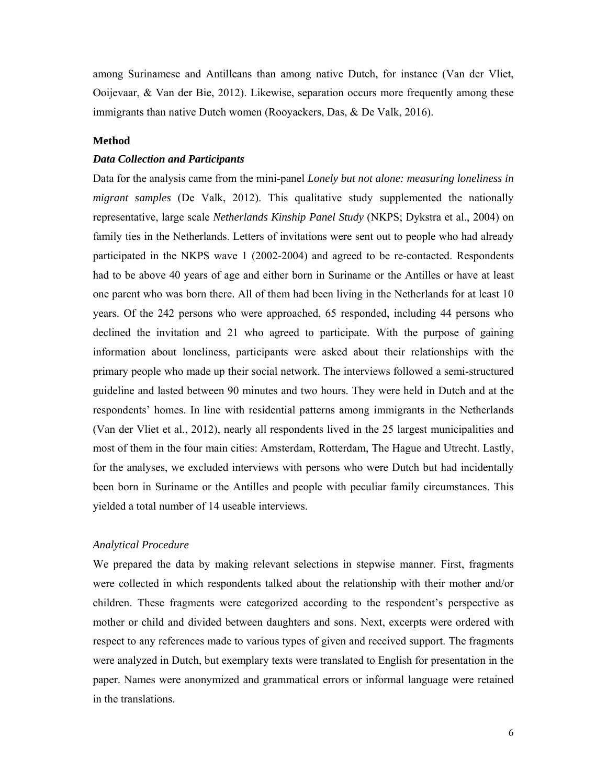among Surinamese and Antilleans than among native Dutch, for instance (Van der Vliet, Ooijevaar, & Van der Bie, 2012). Likewise, separation occurs more frequently among these immigrants than native Dutch women (Rooyackers, Das, & De Valk, 2016).

# **Method**

### *Data Collection and Participants*

Data for the analysis came from the mini-panel *Lonely but not alone: measuring loneliness in migrant samples* (De Valk, 2012). This qualitative study supplemented the nationally representative, large scale *Netherlands Kinship Panel Study* (NKPS; Dykstra et al., 2004) on family ties in the Netherlands. Letters of invitations were sent out to people who had already participated in the NKPS wave 1 (2002-2004) and agreed to be re-contacted. Respondents had to be above 40 years of age and either born in Suriname or the Antilles or have at least one parent who was born there. All of them had been living in the Netherlands for at least 10 years. Of the 242 persons who were approached, 65 responded, including 44 persons who declined the invitation and 21 who agreed to participate. With the purpose of gaining information about loneliness, participants were asked about their relationships with the primary people who made up their social network. The interviews followed a semi-structured guideline and lasted between 90 minutes and two hours. They were held in Dutch and at the respondents' homes. In line with residential patterns among immigrants in the Netherlands (Van der Vliet et al., 2012), nearly all respondents lived in the 25 largest municipalities and most of them in the four main cities: Amsterdam, Rotterdam, The Hague and Utrecht. Lastly, for the analyses, we excluded interviews with persons who were Dutch but had incidentally been born in Suriname or the Antilles and people with peculiar family circumstances. This yielded a total number of 14 useable interviews.

# *Analytical Procedure*

We prepared the data by making relevant selections in stepwise manner. First, fragments were collected in which respondents talked about the relationship with their mother and/or children. These fragments were categorized according to the respondent's perspective as mother or child and divided between daughters and sons. Next, excerpts were ordered with respect to any references made to various types of given and received support. The fragments were analyzed in Dutch, but exemplary texts were translated to English for presentation in the paper. Names were anonymized and grammatical errors or informal language were retained in the translations.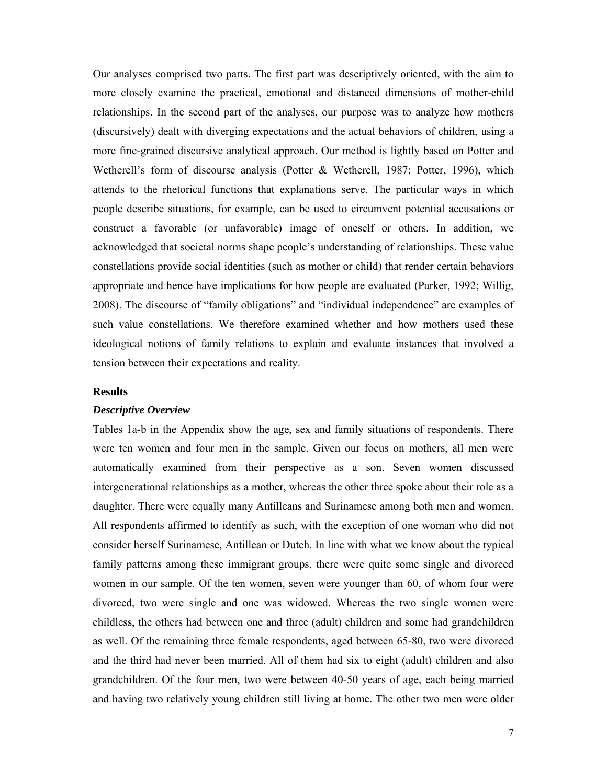Our analyses comprised two parts. The first part was descriptively oriented, with the aim to more closely examine the practical, emotional and distanced dimensions of mother-child relationships. In the second part of the analyses, our purpose was to analyze how mothers (discursively) dealt with diverging expectations and the actual behaviors of children, using a more fine-grained discursive analytical approach. Our method is lightly based on Potter and Wetherell's form of discourse analysis (Potter & Wetherell, 1987; Potter, 1996), which attends to the rhetorical functions that explanations serve. The particular ways in which people describe situations, for example, can be used to circumvent potential accusations or construct a favorable (or unfavorable) image of oneself or others. In addition, we acknowledged that societal norms shape people's understanding of relationships. These value constellations provide social identities (such as mother or child) that render certain behaviors appropriate and hence have implications for how people are evaluated (Parker, 1992; Willig, 2008). The discourse of "family obligations" and "individual independence" are examples of such value constellations. We therefore examined whether and how mothers used these ideological notions of family relations to explain and evaluate instances that involved a tension between their expectations and reality.

# **Results**

### *Descriptive Overview*

Tables 1a-b in the Appendix show the age, sex and family situations of respondents. There were ten women and four men in the sample. Given our focus on mothers, all men were automatically examined from their perspective as a son. Seven women discussed intergenerational relationships as a mother, whereas the other three spoke about their role as a daughter. There were equally many Antilleans and Surinamese among both men and women. All respondents affirmed to identify as such, with the exception of one woman who did not consider herself Surinamese, Antillean or Dutch. In line with what we know about the typical family patterns among these immigrant groups, there were quite some single and divorced women in our sample. Of the ten women, seven were younger than 60, of whom four were divorced, two were single and one was widowed. Whereas the two single women were childless, the others had between one and three (adult) children and some had grandchildren as well. Of the remaining three female respondents, aged between 65-80, two were divorced and the third had never been married. All of them had six to eight (adult) children and also grandchildren. Of the four men, two were between 40-50 years of age, each being married and having two relatively young children still living at home. The other two men were older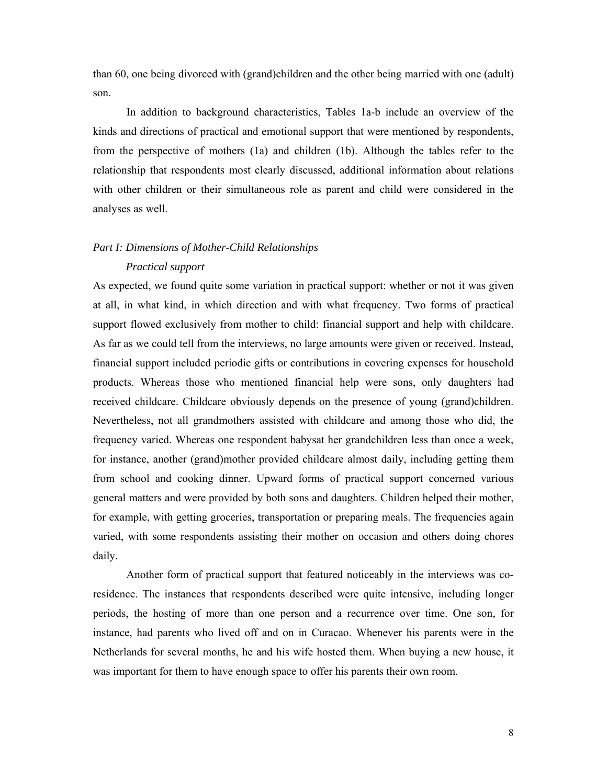than 60, one being divorced with (grand)children and the other being married with one (adult) son.

In addition to background characteristics, Tables 1a-b include an overview of the kinds and directions of practical and emotional support that were mentioned by respondents, from the perspective of mothers (1a) and children (1b). Although the tables refer to the relationship that respondents most clearly discussed, additional information about relations with other children or their simultaneous role as parent and child were considered in the analyses as well.

# *Part I: Dimensions of Mother-Child Relationships*

# *Practical support*

As expected, we found quite some variation in practical support: whether or not it was given at all, in what kind, in which direction and with what frequency. Two forms of practical support flowed exclusively from mother to child: financial support and help with childcare. As far as we could tell from the interviews, no large amounts were given or received. Instead, financial support included periodic gifts or contributions in covering expenses for household products. Whereas those who mentioned financial help were sons, only daughters had received childcare. Childcare obviously depends on the presence of young (grand)children. Nevertheless, not all grandmothers assisted with childcare and among those who did, the frequency varied. Whereas one respondent babysat her grandchildren less than once a week, for instance, another (grand)mother provided childcare almost daily, including getting them from school and cooking dinner. Upward forms of practical support concerned various general matters and were provided by both sons and daughters. Children helped their mother, for example, with getting groceries, transportation or preparing meals. The frequencies again varied, with some respondents assisting their mother on occasion and others doing chores daily.

Another form of practical support that featured noticeably in the interviews was coresidence. The instances that respondents described were quite intensive, including longer periods, the hosting of more than one person and a recurrence over time. One son, for instance, had parents who lived off and on in Curacao. Whenever his parents were in the Netherlands for several months, he and his wife hosted them. When buying a new house, it was important for them to have enough space to offer his parents their own room.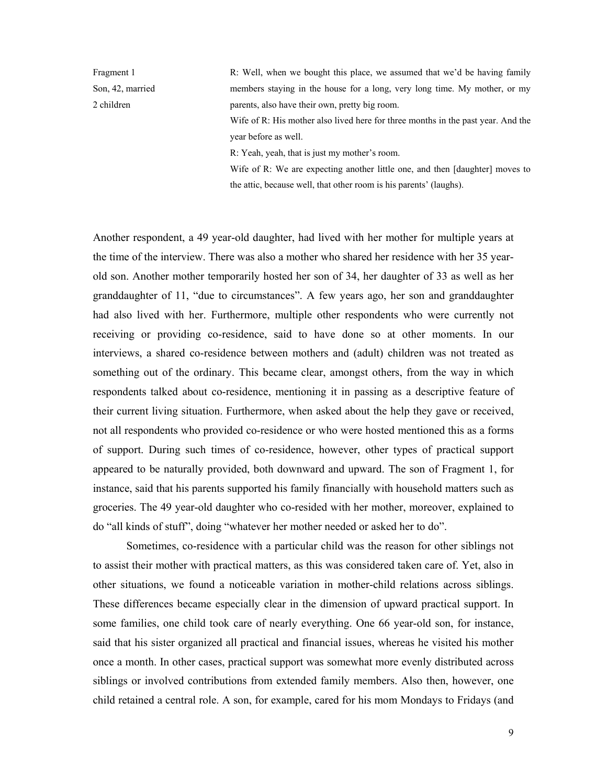Fragment 1 Son, 42, married 2 children

R: Well, when we bought this place, we assumed that we'd be having family members staying in the house for a long, very long time. My mother, or my parents, also have their own, pretty big room.

Wife of R: His mother also lived here for three months in the past year. And the year before as well.

R: Yeah, yeah, that is just my mother's room.

Wife of R: We are expecting another little one, and then [daughter] moves to the attic, because well, that other room is his parents' (laughs).

Another respondent, a 49 year-old daughter, had lived with her mother for multiple years at the time of the interview. There was also a mother who shared her residence with her 35 yearold son. Another mother temporarily hosted her son of 34, her daughter of 33 as well as her granddaughter of 11, "due to circumstances". A few years ago, her son and granddaughter had also lived with her. Furthermore, multiple other respondents who were currently not receiving or providing co-residence, said to have done so at other moments. In our interviews, a shared co-residence between mothers and (adult) children was not treated as something out of the ordinary. This became clear, amongst others, from the way in which respondents talked about co-residence, mentioning it in passing as a descriptive feature of their current living situation. Furthermore, when asked about the help they gave or received, not all respondents who provided co-residence or who were hosted mentioned this as a forms of support. During such times of co-residence, however, other types of practical support appeared to be naturally provided, both downward and upward. The son of Fragment 1, for instance, said that his parents supported his family financially with household matters such as groceries. The 49 year-old daughter who co-resided with her mother, moreover, explained to do "all kinds of stuff", doing "whatever her mother needed or asked her to do".

Sometimes, co-residence with a particular child was the reason for other siblings not to assist their mother with practical matters, as this was considered taken care of. Yet, also in other situations, we found a noticeable variation in mother-child relations across siblings. These differences became especially clear in the dimension of upward practical support. In some families, one child took care of nearly everything. One 66 year-old son, for instance, said that his sister organized all practical and financial issues, whereas he visited his mother once a month. In other cases, practical support was somewhat more evenly distributed across siblings or involved contributions from extended family members. Also then, however, one child retained a central role. A son, for example, cared for his mom Mondays to Fridays (and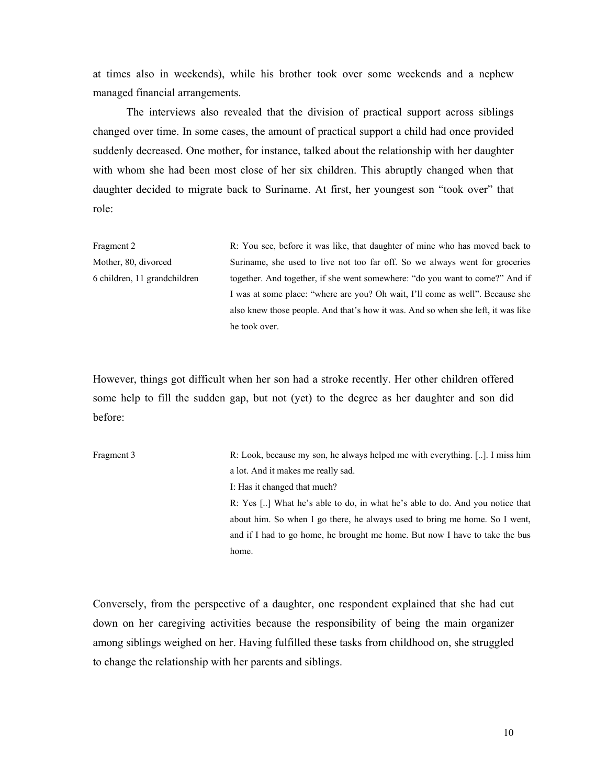at times also in weekends), while his brother took over some weekends and a nephew managed financial arrangements.

The interviews also revealed that the division of practical support across siblings changed over time. In some cases, the amount of practical support a child had once provided suddenly decreased. One mother, for instance, talked about the relationship with her daughter with whom she had been most close of her six children. This abruptly changed when that daughter decided to migrate back to Suriname. At first, her youngest son "took over" that role:

Fragment 2 Mother, 80, divorced 6 children, 11 grandchildren R: You see, before it was like, that daughter of mine who has moved back to Suriname, she used to live not too far off. So we always went for groceries together. And together, if she went somewhere: "do you want to come?" And if I was at some place: "where are you? Oh wait, I'll come as well". Because she also knew those people. And that's how it was. And so when she left, it was like he took over.

However, things got difficult when her son had a stroke recently. Her other children offered some help to fill the sudden gap, but not (yet) to the degree as her daughter and son did before:

| Fragment 3 | R: Look, because my son, he always helped me with everything. $[]$ . I miss him |
|------------|---------------------------------------------------------------------------------|
|            | a lot. And it makes me really sad.                                              |
|            | I: Has it changed that much?                                                    |
|            | R: Yes [] What he's able to do, in what he's able to do. And you notice that    |
|            | about him. So when I go there, he always used to bring me home. So I went,      |
|            | and if I had to go home, he brought me home. But now I have to take the bus     |
|            | home.                                                                           |

Conversely, from the perspective of a daughter, one respondent explained that she had cut down on her caregiving activities because the responsibility of being the main organizer among siblings weighed on her. Having fulfilled these tasks from childhood on, she struggled to change the relationship with her parents and siblings.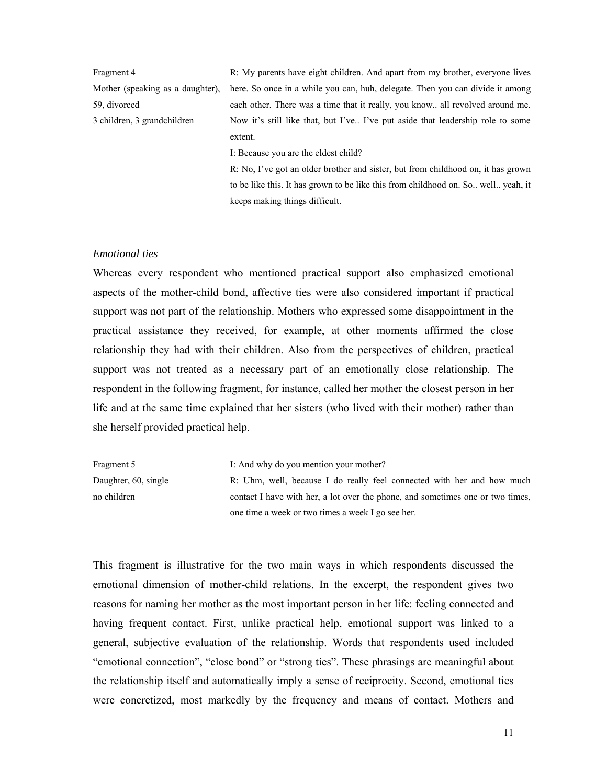| Fragment 4                       | R: My parents have eight children. And apart from my brother, everyone lives          |  |
|----------------------------------|---------------------------------------------------------------------------------------|--|
| Mother (speaking as a daughter), | here. So once in a while you can, huh, delegate. Then you can divide it among         |  |
| 59, divorced                     | each other. There was a time that it really, you know all revolved around me.         |  |
| 3 children, 3 grandchildren      | Now it's still like that, but I've I've put aside that leadership role to some        |  |
|                                  | extent.                                                                               |  |
|                                  | I: Because you are the eldest child?                                                  |  |
|                                  | R: No, I've got an older brother and sister, but from childhood on, it has grown      |  |
|                                  | to be like this. It has grown to be like this from childhood on. So., well., yeah, it |  |

keeps making things difficult.

### *Emotional ties*

Whereas every respondent who mentioned practical support also emphasized emotional aspects of the mother-child bond, affective ties were also considered important if practical support was not part of the relationship. Mothers who expressed some disappointment in the practical assistance they received, for example, at other moments affirmed the close relationship they had with their children. Also from the perspectives of children, practical support was not treated as a necessary part of an emotionally close relationship. The respondent in the following fragment, for instance, called her mother the closest person in her life and at the same time explained that her sisters (who lived with their mother) rather than she herself provided practical help.

| Fragment 5                                        | I: And why do you mention your mother?                                         |
|---------------------------------------------------|--------------------------------------------------------------------------------|
| Daughter, 60, single                              | R: Uhm, well, because I do really feel connected with her and how much         |
| no children                                       | contact I have with her, a lot over the phone, and sometimes one or two times, |
| one time a week or two times a week I go see her. |                                                                                |

This fragment is illustrative for the two main ways in which respondents discussed the emotional dimension of mother-child relations. In the excerpt, the respondent gives two reasons for naming her mother as the most important person in her life: feeling connected and having frequent contact. First, unlike practical help, emotional support was linked to a general, subjective evaluation of the relationship. Words that respondents used included "emotional connection", "close bond" or "strong ties". These phrasings are meaningful about the relationship itself and automatically imply a sense of reciprocity. Second, emotional ties were concretized, most markedly by the frequency and means of contact. Mothers and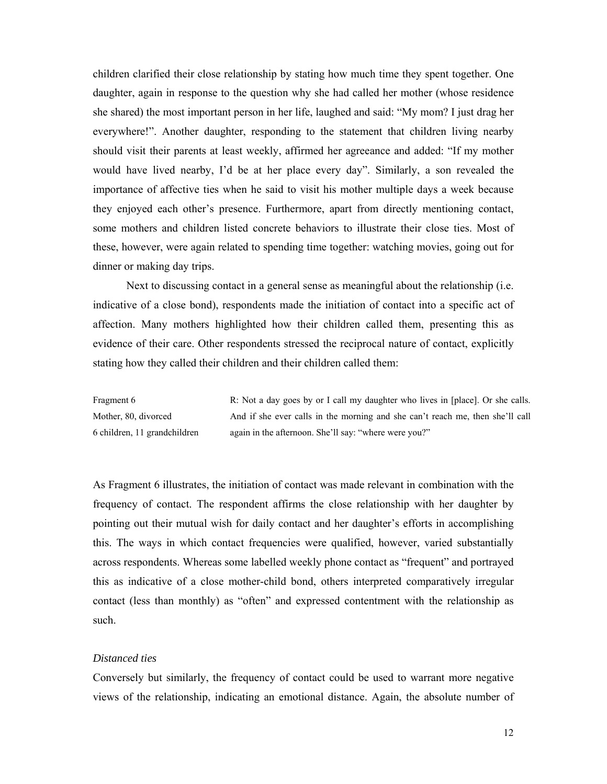children clarified their close relationship by stating how much time they spent together. One daughter, again in response to the question why she had called her mother (whose residence she shared) the most important person in her life, laughed and said: "My mom? I just drag her everywhere!". Another daughter, responding to the statement that children living nearby should visit their parents at least weekly, affirmed her agreeance and added: "If my mother would have lived nearby, I'd be at her place every day". Similarly, a son revealed the importance of affective ties when he said to visit his mother multiple days a week because they enjoyed each other's presence. Furthermore, apart from directly mentioning contact, some mothers and children listed concrete behaviors to illustrate their close ties. Most of these, however, were again related to spending time together: watching movies, going out for dinner or making day trips.

Next to discussing contact in a general sense as meaningful about the relationship (i.e. indicative of a close bond), respondents made the initiation of contact into a specific act of affection. Many mothers highlighted how their children called them, presenting this as evidence of their care. Other respondents stressed the reciprocal nature of contact, explicitly stating how they called their children and their children called them:

Fragment 6 Mother, 80, divorced 6 children, 11 grandchildren R: Not a day goes by or I call my daughter who lives in [place]. Or she calls. And if she ever calls in the morning and she can't reach me, then she'll call again in the afternoon. She'll say: "where were you?"

As Fragment 6 illustrates, the initiation of contact was made relevant in combination with the frequency of contact. The respondent affirms the close relationship with her daughter by pointing out their mutual wish for daily contact and her daughter's efforts in accomplishing this. The ways in which contact frequencies were qualified, however, varied substantially across respondents. Whereas some labelled weekly phone contact as "frequent" and portrayed this as indicative of a close mother-child bond, others interpreted comparatively irregular contact (less than monthly) as "often" and expressed contentment with the relationship as such.

### *Distanced ties*

Conversely but similarly, the frequency of contact could be used to warrant more negative views of the relationship, indicating an emotional distance. Again, the absolute number of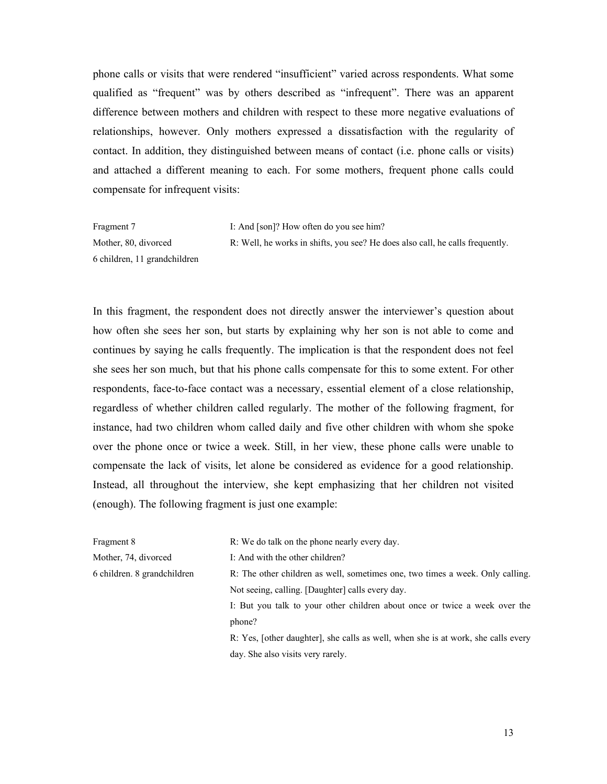phone calls or visits that were rendered "insufficient" varied across respondents. What some qualified as "frequent" was by others described as "infrequent". There was an apparent difference between mothers and children with respect to these more negative evaluations of relationships, however. Only mothers expressed a dissatisfaction with the regularity of contact. In addition, they distinguished between means of contact (i.e. phone calls or visits) and attached a different meaning to each. For some mothers, frequent phone calls could compensate for infrequent visits:

Fragment 7 Mother, 80, divorced 6 children, 11 grandchildren I: And [son]? How often do you see him? R: Well, he works in shifts, you see? He does also call, he calls frequently.

In this fragment, the respondent does not directly answer the interviewer's question about how often she sees her son, but starts by explaining why her son is not able to come and continues by saying he calls frequently. The implication is that the respondent does not feel she sees her son much, but that his phone calls compensate for this to some extent. For other respondents, face-to-face contact was a necessary, essential element of a close relationship, regardless of whether children called regularly. The mother of the following fragment, for instance, had two children whom called daily and five other children with whom she spoke over the phone once or twice a week. Still, in her view, these phone calls were unable to compensate the lack of visits, let alone be considered as evidence for a good relationship. Instead, all throughout the interview, she kept emphasizing that her children not visited (enough). The following fragment is just one example:

| Fragment 8                  | R: We do talk on the phone nearly every day.                                      |  |
|-----------------------------|-----------------------------------------------------------------------------------|--|
| Mother, 74, divorced        | I: And with the other children?                                                   |  |
| 6 children. 8 grandchildren | R: The other children as well, sometimes one, two times a week. Only calling.     |  |
|                             | Not seeing, calling. [Daughter] calls every day.                                  |  |
|                             | I: But you talk to your other children about once or twice a week over the        |  |
|                             | phone?                                                                            |  |
|                             | R: Yes, [other daughter], she calls as well, when she is at work, she calls every |  |
|                             | day. She also visits very rarely.                                                 |  |
|                             |                                                                                   |  |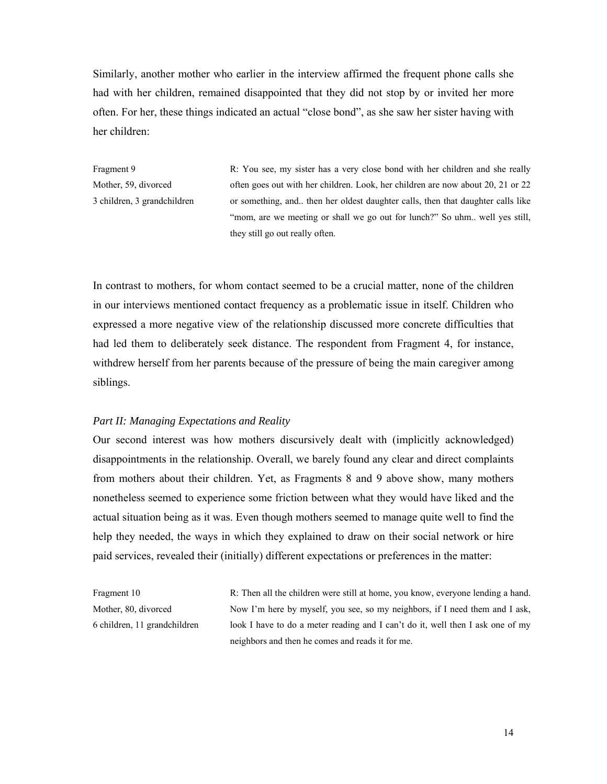Similarly, another mother who earlier in the interview affirmed the frequent phone calls she had with her children, remained disappointed that they did not stop by or invited her more often. For her, these things indicated an actual "close bond", as she saw her sister having with her children:

Fragment 9 Mother, 59, divorced 3 children, 3 grandchildren R: You see, my sister has a very close bond with her children and she really often goes out with her children. Look, her children are now about 20, 21 or 22 or something, and.. then her oldest daughter calls, then that daughter calls like "mom, are we meeting or shall we go out for lunch?" So uhm.. well yes still, they still go out really often.

In contrast to mothers, for whom contact seemed to be a crucial matter, none of the children in our interviews mentioned contact frequency as a problematic issue in itself. Children who expressed a more negative view of the relationship discussed more concrete difficulties that had led them to deliberately seek distance. The respondent from Fragment 4, for instance, withdrew herself from her parents because of the pressure of being the main caregiver among siblings.

### *Part II: Managing Expectations and Reality*

Our second interest was how mothers discursively dealt with (implicitly acknowledged) disappointments in the relationship. Overall, we barely found any clear and direct complaints from mothers about their children. Yet, as Fragments 8 and 9 above show, many mothers nonetheless seemed to experience some friction between what they would have liked and the actual situation being as it was. Even though mothers seemed to manage quite well to find the help they needed, the ways in which they explained to draw on their social network or hire paid services, revealed their (initially) different expectations or preferences in the matter:

Fragment 10 Mother, 80, divorced 6 children, 11 grandchildren R: Then all the children were still at home, you know, everyone lending a hand. Now I'm here by myself, you see, so my neighbors, if I need them and I ask, look I have to do a meter reading and I can't do it, well then I ask one of my neighbors and then he comes and reads it for me.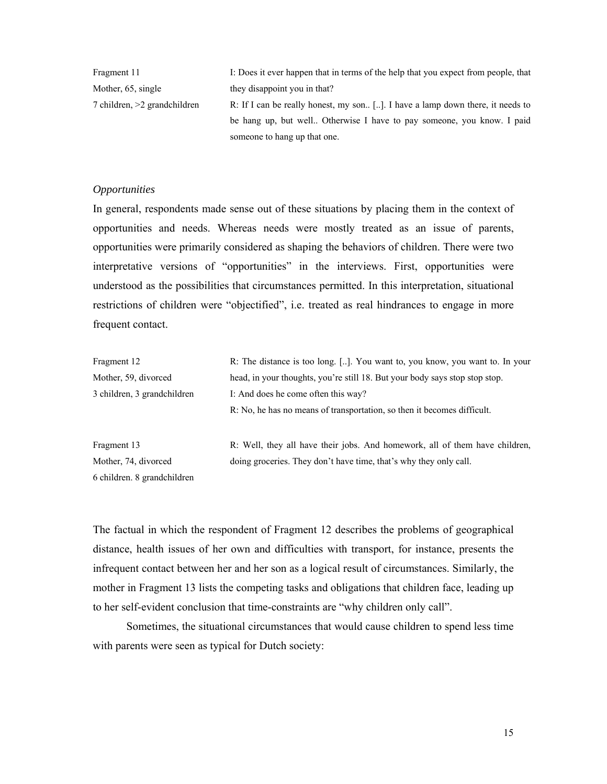| Fragment 11                  | I: Does it ever happen that in terms of the help that you expect from people, that |
|------------------------------|------------------------------------------------------------------------------------|
| Mother, 65, single           | they disappoint you in that?                                                       |
| 7 children, >2 grandchildren | R: If I can be really honest, my son. []. I have a lamp down there, it needs to    |
|                              | be hang up, but well. Otherwise I have to pay someone, you know. I paid            |
|                              | someone to hang up that one.                                                       |

### *Opportunities*

In general, respondents made sense out of these situations by placing them in the context of opportunities and needs. Whereas needs were mostly treated as an issue of parents, opportunities were primarily considered as shaping the behaviors of children. There were two interpretative versions of "opportunities" in the interviews. First, opportunities were understood as the possibilities that circumstances permitted. In this interpretation, situational restrictions of children were "objectified", i.e. treated as real hindrances to engage in more frequent contact.

| Fragment 12                 | R: The distance is too long. []. You want to, you know, you want to. In your |  |  |
|-----------------------------|------------------------------------------------------------------------------|--|--|
| Mother, 59, divorced        | head, in your thoughts, you're still 18. But your body says stop stop stop.  |  |  |
| 3 children, 3 grandchildren | I: And does he come often this way?                                          |  |  |
|                             | R: No, he has no means of transportation, so then it becomes difficult.      |  |  |
| Fragment 13                 | R: Well, they all have their jobs. And homework, all of them have children,  |  |  |
| Mother, 74, divorced        | doing groceries. They don't have time, that's why they only call.            |  |  |
| 6 children. 8 grandchildren |                                                                              |  |  |

The factual in which the respondent of Fragment 12 describes the problems of geographical distance, health issues of her own and difficulties with transport, for instance, presents the infrequent contact between her and her son as a logical result of circumstances. Similarly, the mother in Fragment 13 lists the competing tasks and obligations that children face, leading up to her self-evident conclusion that time-constraints are "why children only call".

Sometimes, the situational circumstances that would cause children to spend less time with parents were seen as typical for Dutch society: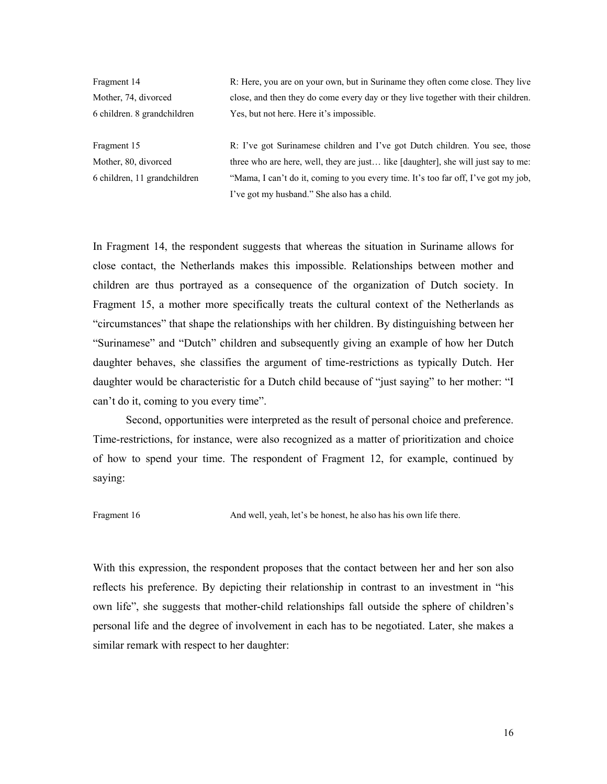Fragment 14 Mother, 74, divorced 6 children. 8 grandchildren R: Here, you are on your own, but in Suriname they often come close. They live close, and then they do come every day or they live together with their children. Yes, but not here. Here it's impossible.

Fragment 15 Mother, 80, divorced 6 children, 11 grandchildren R: I've got Surinamese children and I've got Dutch children. You see, those three who are here, well, they are just… like [daughter], she will just say to me: "Mama, I can't do it, coming to you every time. It's too far off, I've got my job, I've got my husband." She also has a child.

In Fragment 14, the respondent suggests that whereas the situation in Suriname allows for close contact, the Netherlands makes this impossible. Relationships between mother and children are thus portrayed as a consequence of the organization of Dutch society. In Fragment 15, a mother more specifically treats the cultural context of the Netherlands as "circumstances" that shape the relationships with her children. By distinguishing between her "Surinamese" and "Dutch" children and subsequently giving an example of how her Dutch daughter behaves, she classifies the argument of time-restrictions as typically Dutch. Her daughter would be characteristic for a Dutch child because of "just saying" to her mother: "I can't do it, coming to you every time".

 Second, opportunities were interpreted as the result of personal choice and preference. Time-restrictions, for instance, were also recognized as a matter of prioritization and choice of how to spend your time. The respondent of Fragment 12, for example, continued by saying:

Fragment 16 And well, yeah, let's be honest, he also has his own life there.

With this expression, the respondent proposes that the contact between her and her son also reflects his preference. By depicting their relationship in contrast to an investment in "his own life", she suggests that mother-child relationships fall outside the sphere of children's personal life and the degree of involvement in each has to be negotiated. Later, she makes a similar remark with respect to her daughter: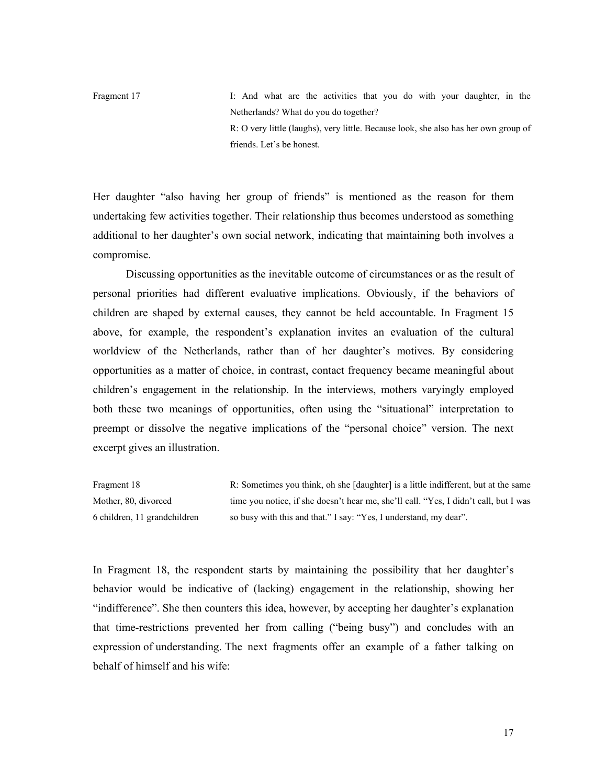Fragment 17 I: And what are the activities that you do with your daughter, in the Netherlands? What do you do together? R: O very little (laughs), very little. Because look, she also has her own group of friends. Let's be honest.

Her daughter "also having her group of friends" is mentioned as the reason for them undertaking few activities together. Their relationship thus becomes understood as something additional to her daughter's own social network, indicating that maintaining both involves a compromise.

 Discussing opportunities as the inevitable outcome of circumstances or as the result of personal priorities had different evaluative implications. Obviously, if the behaviors of children are shaped by external causes, they cannot be held accountable. In Fragment 15 above, for example, the respondent's explanation invites an evaluation of the cultural worldview of the Netherlands, rather than of her daughter's motives. By considering opportunities as a matter of choice, in contrast, contact frequency became meaningful about children's engagement in the relationship. In the interviews, mothers varyingly employed both these two meanings of opportunities, often using the "situational" interpretation to preempt or dissolve the negative implications of the "personal choice" version. The next excerpt gives an illustration.

Fragment 18 Mother, 80, divorced 6 children, 11 grandchildren R: Sometimes you think, oh she [daughter] is a little indifferent, but at the same time you notice, if she doesn't hear me, she'll call. "Yes, I didn't call, but I was so busy with this and that." I say: "Yes, I understand, my dear".

In Fragment 18, the respondent starts by maintaining the possibility that her daughter's behavior would be indicative of (lacking) engagement in the relationship, showing her "indifference". She then counters this idea, however, by accepting her daughter's explanation that time-restrictions prevented her from calling ("being busy") and concludes with an expression of understanding. The next fragments offer an example of a father talking on behalf of himself and his wife: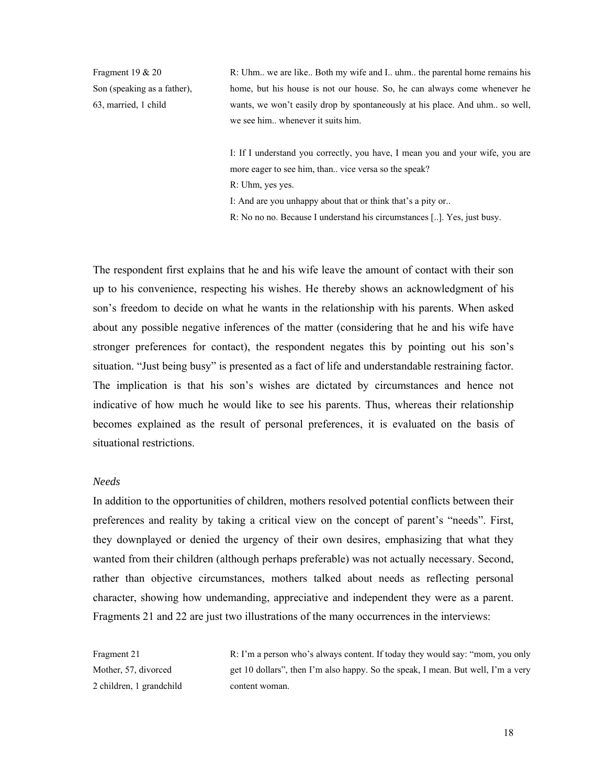Fragment 19 & 20 Son (speaking as a father), 63, married, 1 child

R: Uhm.. we are like.. Both my wife and I.. uhm.. the parental home remains his home, but his house is not our house. So, he can always come whenever he wants, we won't easily drop by spontaneously at his place. And uhm.. so well, we see him.. whenever it suits him.

I: If I understand you correctly, you have, I mean you and your wife, you are more eager to see him, than.. vice versa so the speak? R: Uhm, yes yes. I: And are you unhappy about that or think that's a pity or.. R: No no no. Because I understand his circumstances [..]. Yes, just busy.

The respondent first explains that he and his wife leave the amount of contact with their son up to his convenience, respecting his wishes. He thereby shows an acknowledgment of his son's freedom to decide on what he wants in the relationship with his parents. When asked about any possible negative inferences of the matter (considering that he and his wife have stronger preferences for contact), the respondent negates this by pointing out his son's situation. "Just being busy" is presented as a fact of life and understandable restraining factor. The implication is that his son's wishes are dictated by circumstances and hence not indicative of how much he would like to see his parents. Thus, whereas their relationship becomes explained as the result of personal preferences, it is evaluated on the basis of situational restrictions.

### *Needs*

In addition to the opportunities of children, mothers resolved potential conflicts between their preferences and reality by taking a critical view on the concept of parent's "needs". First, they downplayed or denied the urgency of their own desires, emphasizing that what they wanted from their children (although perhaps preferable) was not actually necessary. Second, rather than objective circumstances, mothers talked about needs as reflecting personal character, showing how undemanding, appreciative and independent they were as a parent. Fragments 21 and 22 are just two illustrations of the many occurrences in the interviews:

Fragment 21 Mother, 57, divorced 2 children, 1 grandchild R: I'm a person who's always content. If today they would say: "mom, you only get 10 dollars", then I'm also happy. So the speak, I mean. But well, I'm a very content woman.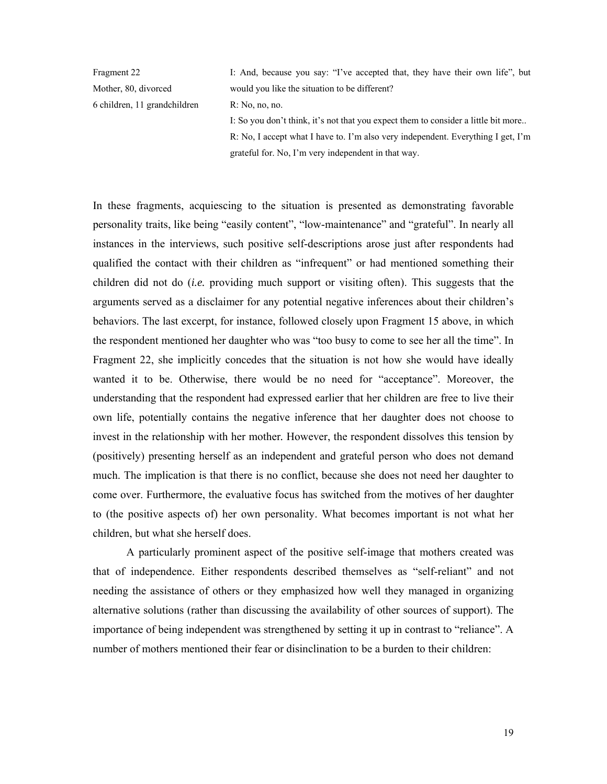Fragment 22 Mother, 80, divorced 6 children, 11 grandchildren I: And, because you say: "I've accepted that, they have their own life", but would you like the situation to be different? R: No, no, no. I: So you don't think, it's not that you expect them to consider a little bit more.. R: No, I accept what I have to. I'm also very independent. Everything I get, I'm grateful for. No, I'm very independent in that way.

In these fragments, acquiescing to the situation is presented as demonstrating favorable personality traits, like being "easily content", "low-maintenance" and "grateful". In nearly all instances in the interviews, such positive self-descriptions arose just after respondents had qualified the contact with their children as "infrequent" or had mentioned something their children did not do (*i.e.* providing much support or visiting often). This suggests that the arguments served as a disclaimer for any potential negative inferences about their children's behaviors. The last excerpt, for instance, followed closely upon Fragment 15 above, in which the respondent mentioned her daughter who was "too busy to come to see her all the time". In Fragment 22, she implicitly concedes that the situation is not how she would have ideally wanted it to be. Otherwise, there would be no need for "acceptance". Moreover, the understanding that the respondent had expressed earlier that her children are free to live their own life, potentially contains the negative inference that her daughter does not choose to invest in the relationship with her mother*.* However, the respondent dissolves this tension by (positively) presenting herself as an independent and grateful person who does not demand much. The implication is that there is no conflict, because she does not need her daughter to come over. Furthermore, the evaluative focus has switched from the motives of her daughter to (the positive aspects of) her own personality. What becomes important is not what her children, but what she herself does.

A particularly prominent aspect of the positive self-image that mothers created was that of independence. Either respondents described themselves as "self-reliant" and not needing the assistance of others or they emphasized how well they managed in organizing alternative solutions (rather than discussing the availability of other sources of support). The importance of being independent was strengthened by setting it up in contrast to "reliance". A number of mothers mentioned their fear or disinclination to be a burden to their children: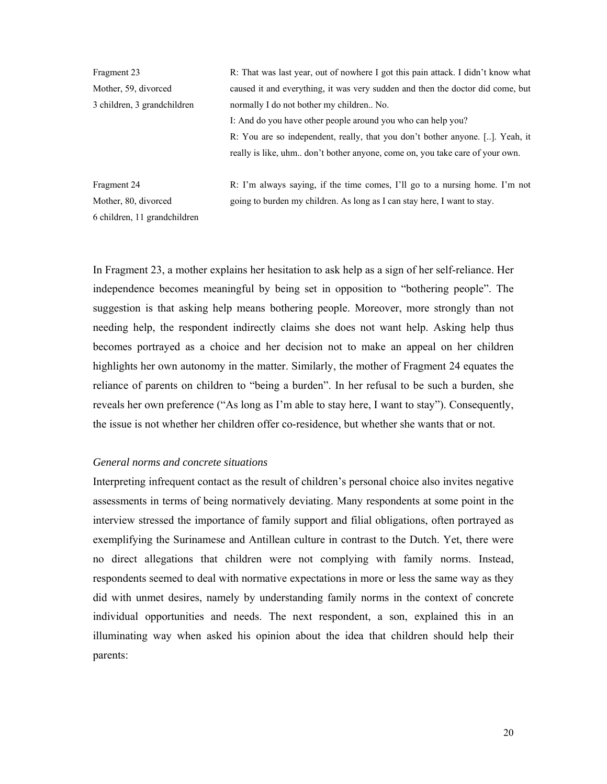| Fragment 23                 | R: That was last year, out of nowhere I got this pain attack. I didn't know what |  |
|-----------------------------|----------------------------------------------------------------------------------|--|
| Mother, 59, divorced        | caused it and everything, it was very sudden and then the doctor did come, but   |  |
| 3 children, 3 grandchildren | normally I do not bother my children No.                                         |  |
|                             | I: And do you have other people around you who can help you?                     |  |
|                             | R: You are so independent, really, that you don't bother anyone. []. Yeah, it    |  |
|                             | really is like, uhm don't bother anyone, come on, you take care of your own.     |  |
| Fragment 24                 | R: I'm always saying, if the time comes, I'll go to a nursing home. I'm not      |  |

Mother, 80, divorced 6 children, 11 grandchildren

R: I'm always saying, if the time comes, I'll go to a nursing home. I'm not going to burden my children. As long as I can stay here, I want to stay.

In Fragment 23, a mother explains her hesitation to ask help as a sign of her self-reliance. Her independence becomes meaningful by being set in opposition to "bothering people". The suggestion is that asking help means bothering people. Moreover, more strongly than not needing help, the respondent indirectly claims she does not want help. Asking help thus becomes portrayed as a choice and her decision not to make an appeal on her children highlights her own autonomy in the matter. Similarly, the mother of Fragment 24 equates the reliance of parents on children to "being a burden". In her refusal to be such a burden, she reveals her own preference ("As long as I'm able to stay here, I want to stay"). Consequently, the issue is not whether her children offer co-residence, but whether she wants that or not.

### *General norms and concrete situations*

Interpreting infrequent contact as the result of children's personal choice also invites negative assessments in terms of being normatively deviating. Many respondents at some point in the interview stressed the importance of family support and filial obligations, often portrayed as exemplifying the Surinamese and Antillean culture in contrast to the Dutch. Yet, there were no direct allegations that children were not complying with family norms. Instead, respondents seemed to deal with normative expectations in more or less the same way as they did with unmet desires, namely by understanding family norms in the context of concrete individual opportunities and needs. The next respondent, a son, explained this in an illuminating way when asked his opinion about the idea that children should help their parents: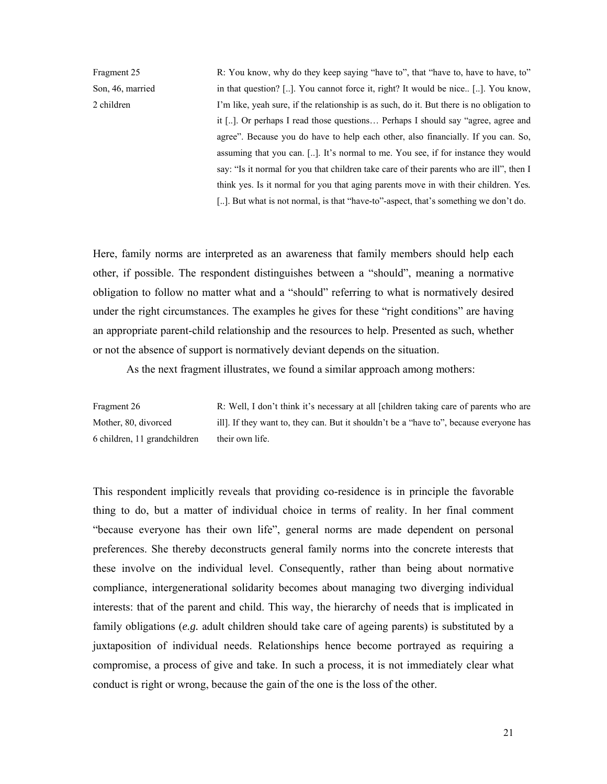Fragment 25 Son, 46, married 2 children

R: You know, why do they keep saying "have to", that "have to, have to have, to" in that question? [..]. You cannot force it, right? It would be nice.. [..]. You know, I'm like, yeah sure, if the relationship is as such, do it. But there is no obligation to it [..]. Or perhaps I read those questions… Perhaps I should say "agree, agree and agree". Because you do have to help each other, also financially. If you can. So, assuming that you can. [..]. It's normal to me. You see, if for instance they would say: "Is it normal for you that children take care of their parents who are ill", then I think yes. Is it normal for you that aging parents move in with their children. Yes*.*  [..]. But what is not normal, is that "have-to"-aspect, that's something we don't do.

Here, family norms are interpreted as an awareness that family members should help each other, if possible. The respondent distinguishes between a "should", meaning a normative obligation to follow no matter what and a "should" referring to what is normatively desired under the right circumstances. The examples he gives for these "right conditions" are having an appropriate parent-child relationship and the resources to help. Presented as such, whether or not the absence of support is normatively deviant depends on the situation.

As the next fragment illustrates, we found a similar approach among mothers:

Fragment 26 Mother, 80, divorced 6 children, 11 grandchildren R: Well, I don't think it's necessary at all [children taking care of parents who are ill]. If they want to, they can. But it shouldn't be a "have to", because everyone has their own life.

This respondent implicitly reveals that providing co-residence is in principle the favorable thing to do, but a matter of individual choice in terms of reality. In her final comment "because everyone has their own life", general norms are made dependent on personal preferences. She thereby deconstructs general family norms into the concrete interests that these involve on the individual level. Consequently, rather than being about normative compliance, intergenerational solidarity becomes about managing two diverging individual interests: that of the parent and child. This way, the hierarchy of needs that is implicated in family obligations (*e.g.* adult children should take care of ageing parents) is substituted by a juxtaposition of individual needs. Relationships hence become portrayed as requiring a compromise, a process of give and take. In such a process, it is not immediately clear what conduct is right or wrong, because the gain of the one is the loss of the other.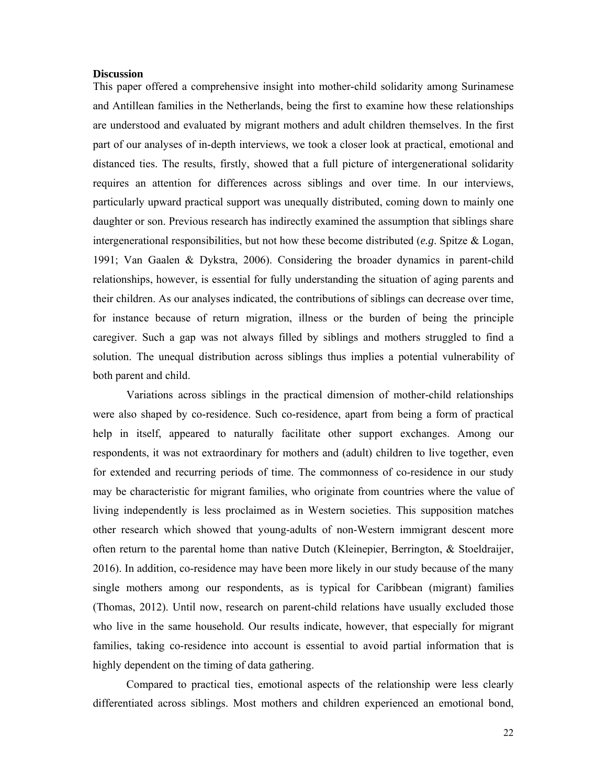# **Discussion**

This paper offered a comprehensive insight into mother-child solidarity among Surinamese and Antillean families in the Netherlands, being the first to examine how these relationships are understood and evaluated by migrant mothers and adult children themselves. In the first part of our analyses of in-depth interviews, we took a closer look at practical, emotional and distanced ties. The results, firstly, showed that a full picture of intergenerational solidarity requires an attention for differences across siblings and over time. In our interviews, particularly upward practical support was unequally distributed, coming down to mainly one daughter or son. Previous research has indirectly examined the assumption that siblings share intergenerational responsibilities, but not how these become distributed (*e.g*. Spitze & Logan, 1991; Van Gaalen & Dykstra, 2006). Considering the broader dynamics in parent-child relationships, however, is essential for fully understanding the situation of aging parents and their children. As our analyses indicated, the contributions of siblings can decrease over time, for instance because of return migration, illness or the burden of being the principle caregiver. Such a gap was not always filled by siblings and mothers struggled to find a solution. The unequal distribution across siblings thus implies a potential vulnerability of both parent and child.

Variations across siblings in the practical dimension of mother-child relationships were also shaped by co-residence. Such co-residence, apart from being a form of practical help in itself, appeared to naturally facilitate other support exchanges. Among our respondents, it was not extraordinary for mothers and (adult) children to live together, even for extended and recurring periods of time. The commonness of co-residence in our study may be characteristic for migrant families, who originate from countries where the value of living independently is less proclaimed as in Western societies. This supposition matches other research which showed that young-adults of non-Western immigrant descent more often return to the parental home than native Dutch (Kleinepier, Berrington, & Stoeldraijer, 2016). In addition, co-residence may have been more likely in our study because of the many single mothers among our respondents, as is typical for Caribbean (migrant) families (Thomas, 2012). Until now, research on parent-child relations have usually excluded those who live in the same household. Our results indicate, however, that especially for migrant families, taking co-residence into account is essential to avoid partial information that is highly dependent on the timing of data gathering.

Compared to practical ties, emotional aspects of the relationship were less clearly differentiated across siblings. Most mothers and children experienced an emotional bond,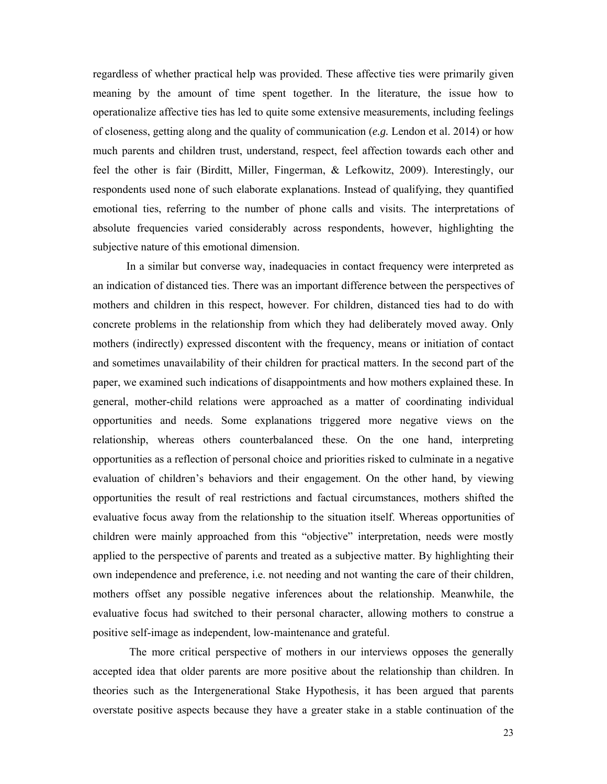regardless of whether practical help was provided. These affective ties were primarily given meaning by the amount of time spent together. In the literature, the issue how to operationalize affective ties has led to quite some extensive measurements, including feelings of closeness, getting along and the quality of communication (*e.g.* Lendon et al. 2014) or how much parents and children trust, understand, respect, feel affection towards each other and feel the other is fair (Birditt, Miller, Fingerman, & Lefkowitz, 2009). Interestingly, our respondents used none of such elaborate explanations. Instead of qualifying, they quantified emotional ties, referring to the number of phone calls and visits. The interpretations of absolute frequencies varied considerably across respondents, however, highlighting the subjective nature of this emotional dimension.

In a similar but converse way, inadequacies in contact frequency were interpreted as an indication of distanced ties. There was an important difference between the perspectives of mothers and children in this respect, however. For children, distanced ties had to do with concrete problems in the relationship from which they had deliberately moved away. Only mothers (indirectly) expressed discontent with the frequency, means or initiation of contact and sometimes unavailability of their children for practical matters. In the second part of the paper, we examined such indications of disappointments and how mothers explained these. In general, mother-child relations were approached as a matter of coordinating individual opportunities and needs. Some explanations triggered more negative views on the relationship, whereas others counterbalanced these. On the one hand, interpreting opportunities as a reflection of personal choice and priorities risked to culminate in a negative evaluation of children's behaviors and their engagement. On the other hand, by viewing opportunities the result of real restrictions and factual circumstances, mothers shifted the evaluative focus away from the relationship to the situation itself. Whereas opportunities of children were mainly approached from this "objective" interpretation, needs were mostly applied to the perspective of parents and treated as a subjective matter. By highlighting their own independence and preference, i.e. not needing and not wanting the care of their children, mothers offset any possible negative inferences about the relationship. Meanwhile, the evaluative focus had switched to their personal character, allowing mothers to construe a positive self-image as independent, low-maintenance and grateful.

 The more critical perspective of mothers in our interviews opposes the generally accepted idea that older parents are more positive about the relationship than children. In theories such as the Intergenerational Stake Hypothesis, it has been argued that parents overstate positive aspects because they have a greater stake in a stable continuation of the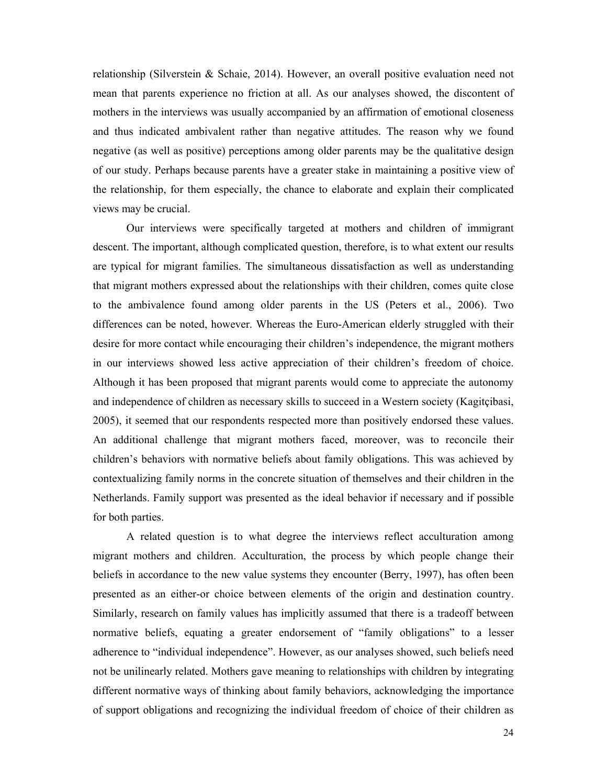relationship (Silverstein & Schaie, 2014). However, an overall positive evaluation need not mean that parents experience no friction at all. As our analyses showed, the discontent of mothers in the interviews was usually accompanied by an affirmation of emotional closeness and thus indicated ambivalent rather than negative attitudes. The reason why we found negative (as well as positive) perceptions among older parents may be the qualitative design of our study. Perhaps because parents have a greater stake in maintaining a positive view of the relationship, for them especially, the chance to elaborate and explain their complicated views may be crucial.

Our interviews were specifically targeted at mothers and children of immigrant descent. The important, although complicated question, therefore, is to what extent our results are typical for migrant families. The simultaneous dissatisfaction as well as understanding that migrant mothers expressed about the relationships with their children, comes quite close to the ambivalence found among older parents in the US (Peters et al., 2006). Two differences can be noted, however. Whereas the Euro-American elderly struggled with their desire for more contact while encouraging their children's independence, the migrant mothers in our interviews showed less active appreciation of their children's freedom of choice. Although it has been proposed that migrant parents would come to appreciate the autonomy and independence of children as necessary skills to succeed in a Western society (Kagitçibasi, 2005), it seemed that our respondents respected more than positively endorsed these values. An additional challenge that migrant mothers faced, moreover, was to reconcile their children's behaviors with normative beliefs about family obligations. This was achieved by contextualizing family norms in the concrete situation of themselves and their children in the Netherlands. Family support was presented as the ideal behavior if necessary and if possible for both parties.

A related question is to what degree the interviews reflect acculturation among migrant mothers and children. Acculturation, the process by which people change their beliefs in accordance to the new value systems they encounter (Berry, 1997), has often been presented as an either-or choice between elements of the origin and destination country. Similarly, research on family values has implicitly assumed that there is a tradeoff between normative beliefs, equating a greater endorsement of "family obligations" to a lesser adherence to "individual independence". However, as our analyses showed, such beliefs need not be unilinearly related. Mothers gave meaning to relationships with children by integrating different normative ways of thinking about family behaviors, acknowledging the importance of support obligations and recognizing the individual freedom of choice of their children as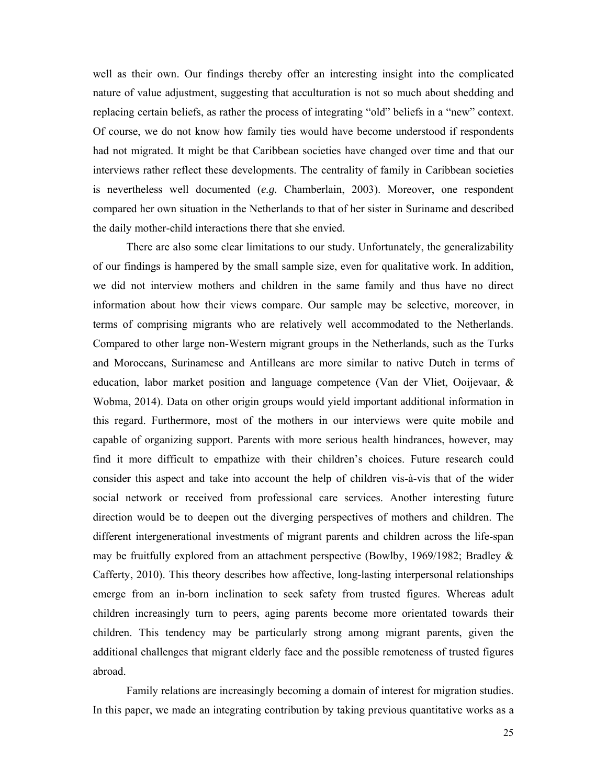well as their own. Our findings thereby offer an interesting insight into the complicated nature of value adjustment, suggesting that acculturation is not so much about shedding and replacing certain beliefs, as rather the process of integrating "old" beliefs in a "new" context. Of course, we do not know how family ties would have become understood if respondents had not migrated. It might be that Caribbean societies have changed over time and that our interviews rather reflect these developments. The centrality of family in Caribbean societies is nevertheless well documented (*e.g.* Chamberlain, 2003). Moreover, one respondent compared her own situation in the Netherlands to that of her sister in Suriname and described the daily mother-child interactions there that she envied.

There are also some clear limitations to our study. Unfortunately, the generalizability of our findings is hampered by the small sample size, even for qualitative work. In addition, we did not interview mothers and children in the same family and thus have no direct information about how their views compare. Our sample may be selective, moreover, in terms of comprising migrants who are relatively well accommodated to the Netherlands. Compared to other large non-Western migrant groups in the Netherlands, such as the Turks and Moroccans, Surinamese and Antilleans are more similar to native Dutch in terms of education, labor market position and language competence (Van der Vliet, Ooijevaar, & Wobma, 2014). Data on other origin groups would yield important additional information in this regard. Furthermore, most of the mothers in our interviews were quite mobile and capable of organizing support. Parents with more serious health hindrances, however, may find it more difficult to empathize with their children's choices. Future research could consider this aspect and take into account the help of children vis-à-vis that of the wider social network or received from professional care services. Another interesting future direction would be to deepen out the diverging perspectives of mothers and children. The different intergenerational investments of migrant parents and children across the life-span may be fruitfully explored from an attachment perspective (Bowlby, 1969/1982; Bradley & Cafferty, 2010). This theory describes how affective, long-lasting interpersonal relationships emerge from an in-born inclination to seek safety from trusted figures. Whereas adult children increasingly turn to peers, aging parents become more orientated towards their children. This tendency may be particularly strong among migrant parents, given the additional challenges that migrant elderly face and the possible remoteness of trusted figures abroad.

Family relations are increasingly becoming a domain of interest for migration studies. In this paper, we made an integrating contribution by taking previous quantitative works as a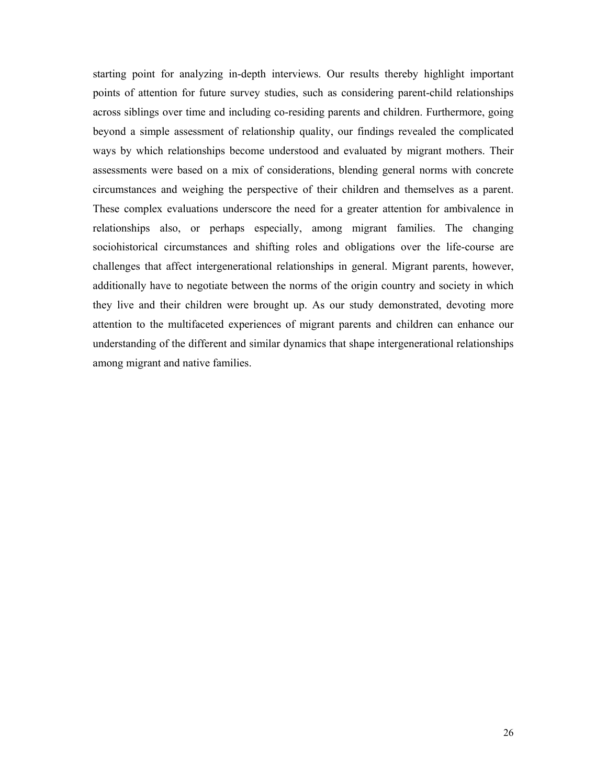starting point for analyzing in-depth interviews. Our results thereby highlight important points of attention for future survey studies, such as considering parent-child relationships across siblings over time and including co-residing parents and children. Furthermore, going beyond a simple assessment of relationship quality, our findings revealed the complicated ways by which relationships become understood and evaluated by migrant mothers. Their assessments were based on a mix of considerations, blending general norms with concrete circumstances and weighing the perspective of their children and themselves as a parent. These complex evaluations underscore the need for a greater attention for ambivalence in relationships also, or perhaps especially, among migrant families. The changing sociohistorical circumstances and shifting roles and obligations over the life-course are challenges that affect intergenerational relationships in general. Migrant parents, however, additionally have to negotiate between the norms of the origin country and society in which they live and their children were brought up. As our study demonstrated, devoting more attention to the multifaceted experiences of migrant parents and children can enhance our understanding of the different and similar dynamics that shape intergenerational relationships among migrant and native families.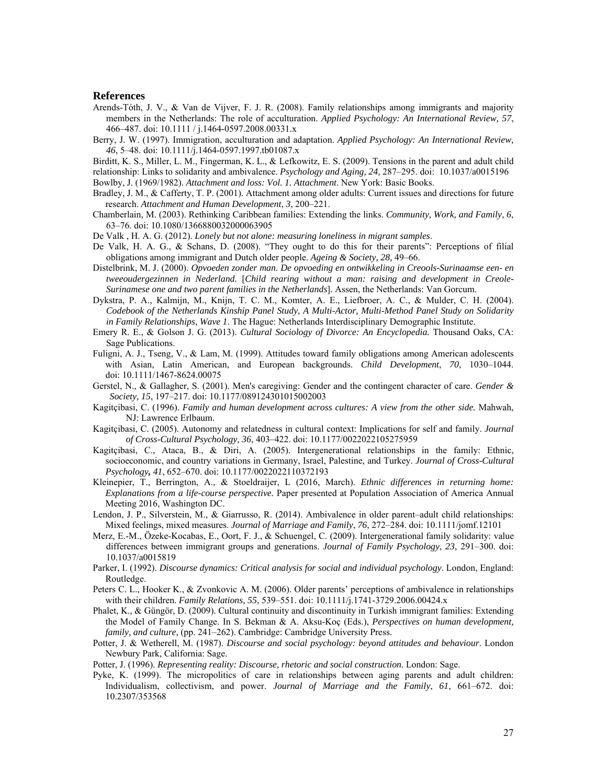#### **References**

- Arends-Tóth, J. V., & Van de Vijver, F. J. R. (2008). Family relationships among immigrants and majority members in the Netherlands: The role of acculturation. *Applied Psychology: An International Review, 57*, 466–487. doi: 10.1111 / j.1464-0597.2008.00331.x
- Berry, J. W. (1997). Immigration, acculturation and adaptation. *Applied Psychology: An International Review, 46*, 5–48. doi: 10.1111/j.1464-0597.1997.tb01087.x
- Birditt, K. S., Miller, L. M., Fingerman, K. L., & Lefkowitz, E. S. (2009). Tensions in the parent and adult child
- relationship: Links to solidarity and ambivalence. *Psychology and Aging, 24,* 287–295. doi: 10.1037/a0015196

Bowlby, J. (1969/1982). *Attachment and loss: Vol. 1. Attachment*. New York: Basic Books.

- Bradley, J. M., & Cafferty, T. P. (2001). Attachment among older adults: Current issues and directions for future research. *Attachment and Human Development*, *3*, 200–221.
- Chamberlain, M. (2003). Rethinking Caribbean families: Extending the links. *Community, Work, and Family*, *6*, 63–76. doi: 10.1080/1366880032000063905
- De Valk , H. A. G. (2012). *Lonely but not alone: measuring loneliness in migrant samples*.
- De Valk, H. A. G., & Schans, D. (2008). "They ought to do this for their parents": Perceptions of filial obligations among immigrant and Dutch older people. *Ageing & Society, 28,* 49–66.
- Distelbrink, M. J. (2000). *Opvoeden zonder man. De opvoeding en ontwikkeling in Creools-Surinaamse een- en tweeoudergezinnen in Nederland.* [*Child rearing without a man: raising and development in Creole-Surinamese one and two parent families in the Netherlands*]*.* Assen, the Netherlands: Van Gorcum.
- Dykstra, P. A., Kalmijn, M., Knijn, T. C. M., Komter, A. E., Liefbroer, A. C., & Mulder, C. H. (2004). *Codebook of the Netherlands Kinship Panel Study, A Multi-Actor, Multi-Method Panel Study on Solidarity in Family Relationships, Wave 1*. The Hague: Netherlands Interdisciplinary Demographic Institute.
- Emery R. E., & Golson J. G. (2013). *Cultural Sociology of Divorce: An Encyclopedia.* Thousand Oaks, CA: Sage Publications.
- Fuligni, A. J., Tseng, V., & Lam, M. (1999). Attitudes toward family obligations among American adolescents with Asian, Latin American, and European backgrounds. *Child Development*, *70*, 1030–1044. doi: 10.1111/1467-8624.00075
- Gerstel, N., & Gallagher, S. (2001). Men's caregiving: Gender and the contingent character of care. *Gender & Society, 15*, 197–217. doi: 10.1177/089124301015002003
- Kagitçibasi, C. (1996). *Family and human development across cultures: A view from the other side.* Mahwah, NJ: Lawrence Erlbaum.
- Kagitçibasi, C. (2005). Autonomy and relatedness in cultural context: Implications for self and family. *Journal of Cross-Cultural Psychology, 36*, 403–422. doi: 10.1177/0022022105275959
- Kagitçibasi, C., Ataca, B., & Diri, A. (2005). Intergenerational relationships in the family: Ethnic, socioeconomic, and country variations in Germany, Israel, Palestine, and Turkey. *Journal of Cross-Cultural Psychology, 41*, 652–670. doi: 10.1177/0022022110372193
- Kleinepier, T., Berrington, A., & Stoeldraijer, L (2016, March). *Ethnic differences in returning home: Explanations from a life-course perspective.* Paper presented at Population Association of America Annual Meeting 2016, Washington DC.
- Lendon, J. P., Silverstein, M., & Giarrusso, R. (2014). Ambivalence in older parent–adult child relationships: Mixed feelings, mixed measures. *Journal of Marriage and Family*, *76*, 272–284. doi: 10.1111/jomf.12101
- Merz, E.-M., Özeke-Kocabas, E., Oort, F. J., & Schuengel, C. (2009). Intergenerational family solidarity: value differences between immigrant groups and generations. *Journal of Family Psychology*, *23,* 291–300. doi: 10.1037/a0015819
- Parker, I. (1992). *Discourse dynamics: Critical analysis for social and individual psychology*. London, England: Routledge.
- Peters C. L., Hooker K., & Zvonkovic A. M. (2006). Older parents' perceptions of ambivalence in relationships with their children. *Family Relations, 55*, 539–551. doi: 10.1111/j.1741-3729.2006.00424.x
- Phalet, K., & Güngör, D. (2009). Cultural continuity and discontinuity in Turkish immigrant families: Extending the Model of Family Change. In S. Bekman & A. Aksu-Koç (Eds.), *Perspectives on human development, family, and culture,* (pp. 241–262). Cambridge: Cambridge University Press.
- Potter, J. & Wetherell, M. (1987). *Discourse and social psychology: beyond attitudes and behaviour*. London Newbury Park, California: Sage.

Potter, J. (1996). *Representing reality: Discourse, rhetoric and social construction.* London: Sage.

Pyke, K. (1999). The micropolitics of care in relationships between aging parents and adult children: Individualism, collectivism, and power. *Journal of Marriage and the Family*, *61*, 661–672. doi: 10.2307/353568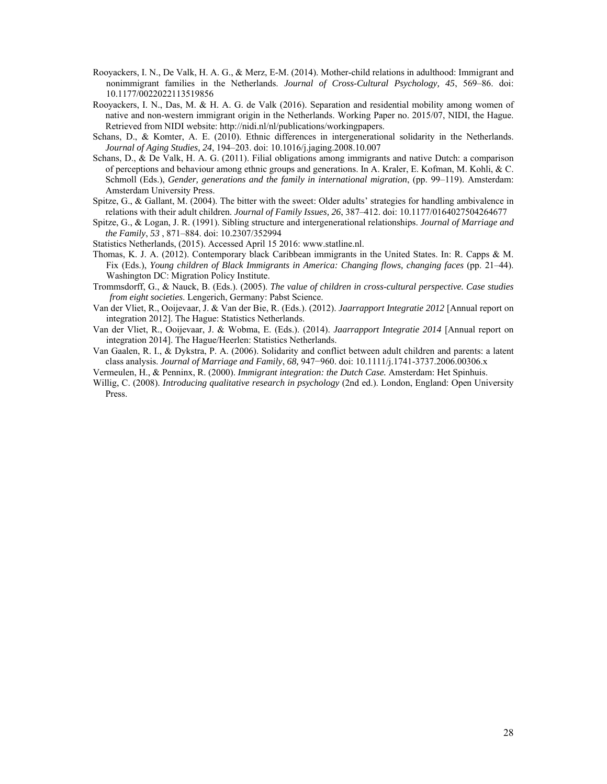- Rooyackers, I. N., De Valk, H. A. G., & Merz, E-M. (2014). Mother-child relations in adulthood: Immigrant and nonimmigrant families in the Netherlands. *Journal of Cross-Cultural Psychology, 45*, 569–86. doi: 10.1177/0022022113519856
- Rooyackers, I. N., Das, M. & H. A. G. de Valk (2016). Separation and residential mobility among women of native and non-western immigrant origin in the Netherlands. Working Paper no. 2015/07, NIDI, the Hague. Retrieved from NIDI website: http://nidi.nl/nl/publications/workingpapers.
- Schans, D., & Komter, A. E. (2010). Ethnic differences in intergenerational solidarity in the Netherlands. *Journal of Aging Studies, 24*, 194–203. doi: 10.1016/j.jaging.2008.10.007
- Schans, D., & De Valk, H. A. G. (2011). Filial obligations among immigrants and native Dutch: a comparison of perceptions and behaviour among ethnic groups and generations. In A. Kraler, E. Kofman, M. Kohli, & C. Schmoll (Eds.), *Gender, generations and the family in international migration*, (pp. 99–119). Amsterdam: Amsterdam University Press.
- Spitze, G., & Gallant, M. (2004). The bitter with the sweet: Older adults' strategies for handling ambivalence in relations with their adult children. *Journal of Family Issues, 26*, 387–412. doi: 10.1177/0164027504264677
- Spitze, G., & Logan, J. R. (1991). Sibling structure and intergenerational relationships. *Journal of Marriage and the Family*, *53* , 871–884. doi: 10.2307/352994

Statistics Netherlands, (2015). Accessed April 15 2016: www.statline.nl.

- Thomas, K. J. A. (2012). Contemporary black Caribbean immigrants in the United States. In: R. Capps & M. Fix (Eds.), *Young children of Black Immigrants in America: Changing flows, changing faces* (pp. 21–44). Washington DC: Migration Policy Institute.
- Trommsdorff, G., & Nauck, B. (Eds.). (2005). *The value of children in cross-cultural perspective. Case studies from eight societies*. Lengerich, Germany: Pabst Science.
- Van der Vliet, R., Ooijevaar, J. & Van der Bie, R. (Eds.). (2012). *Jaarrapport Integratie 2012* [Annual report on integration 2012]. The Hague: Statistics Netherlands.
- Van der Vliet, R., Ooijevaar, J. & Wobma, E. (Eds.). (2014). *Jaarrapport Integratie 2014* [Annual report on integration 2014]. The Hague/Heerlen: Statistics Netherlands.
- Van Gaalen, R. I., & Dykstra, P. A. (2006). Solidarity and conflict between adult children and parents: a latent class analysis. *Journal of Marriage and Family*, *68,* 947−960. doi: 10.1111/j.1741-3737.2006.00306.x
- Vermeulen, H., & Penninx, R. (2000). *Immigrant integration: the Dutch Case.* Amsterdam: Het Spinhuis.
- Willig, C. (2008). *Introducing qualitative research in psychology* (2nd ed.). London, England: Open University Press.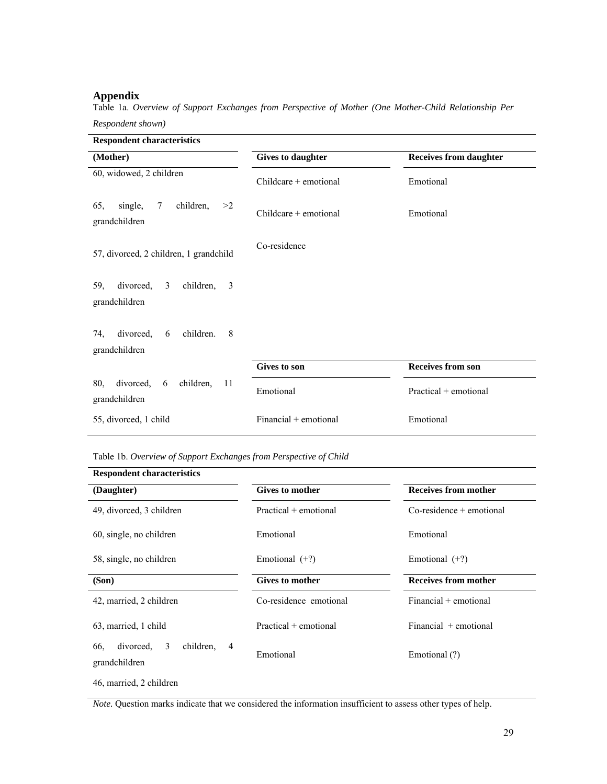# **Appendix**

Table 1a. *Overview of Support Exchanges from Perspective of Mother (One Mother-Child Relationship Per* 

*Respondent shown)* 

| <b>Respondent characteristics</b>                                     |                          |                               |
|-----------------------------------------------------------------------|--------------------------|-------------------------------|
| (Mother)                                                              | <b>Gives to daughter</b> | <b>Receives from daughter</b> |
| 60, widowed, 2 children                                               | $Childcare + emotional$  | Emotional                     |
| children,<br>single,<br>$7\overline{ }$<br>65,<br>>2<br>grandchildren | $Childcare + emotional$  | Emotional                     |
| 57, divorced, 2 children, 1 grandchild                                | Co-residence             |                               |
| divorced, 3<br>children,<br>$\overline{3}$<br>59,<br>grandchildren    |                          |                               |
| divorced,<br>children.<br>8<br>74.<br>6<br>grandchildren              |                          |                               |
|                                                                       | Gives to son             | <b>Receives from son</b>      |
| 80,<br>divorced, 6<br>children,<br>11<br>grandchildren                | Emotional                | Practical + emotional         |
| 55, divorced, 1 child                                                 | Financial + emotional    | Emotional                     |

Table 1b. *Overview of Support Exchanges from Perspective of Child*

| <b>Respondent characteristics</b>                                     |                        |                             |  |
|-----------------------------------------------------------------------|------------------------|-----------------------------|--|
| (Daughter)                                                            | Gives to mother        | <b>Receives from mother</b> |  |
| 49, divorced, 3 children                                              | Practical + emotional  | $Co$ -residence + emotional |  |
| 60, single, no children                                               | Emotional              | Emotional                   |  |
| 58, single, no children                                               | Emotional $(+?)$       | Emotional $(+?)$            |  |
| (Son)                                                                 | <b>Gives to mother</b> | <b>Receives from mother</b> |  |
| 42, married, 2 children                                               | Co-residence emotional | Financial + emotional       |  |
| 63, married, 1 child                                                  | Practical + emotional  | $Financial + emotional$     |  |
| divorced.<br>3<br>children.<br>$\overline{4}$<br>66.<br>grandchildren | Emotional              | Emotional (?)               |  |
| 46, married, 2 children                                               |                        |                             |  |

*Note.* Question marks indicate that we considered the information insufficient to assess other types of help.